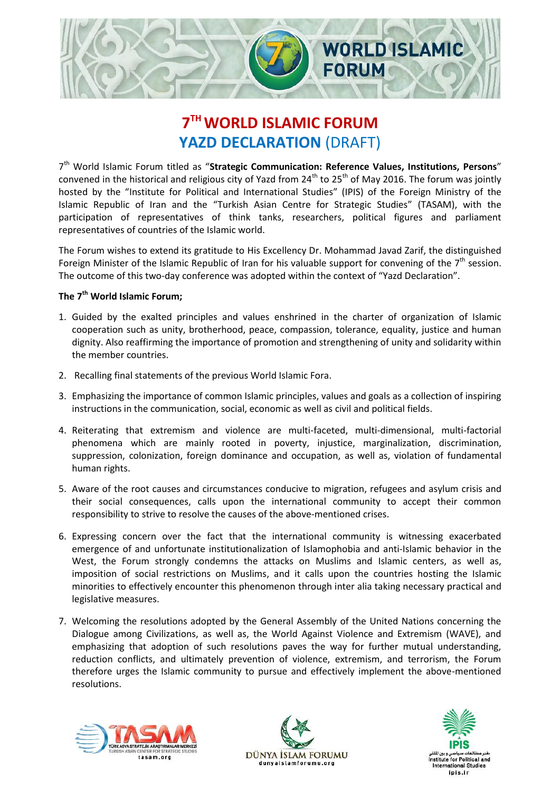

## **7 THWORLD ISLAMIC FORUM YAZD DECLARATION** (DRAFT)

7<sup>th</sup> World Islamic Forum titled as "Strategic Communication: Reference Values, Institutions, Persons" convened in the historical and religious city of Yazd from  $24^{th}$  to  $25^{th}$  of May 2016. The forum was jointly hosted by the "Institute for Political and International Studies" (IPIS) of the Foreign Ministry of the Islamic Republic of Iran and the "Turkish Asian Centre for Strategic Studies" (TASAM), with the participation of representatives of think tanks, researchers, political figures and parliament representatives of countries of the Islamic world.

The Forum wishes to extend its gratitude to His Excellency Dr. Mohammad Javad Zarif, the distinguished Foreign Minister of the Islamic Republic of Iran for his valuable support for convening of the  $7<sup>th</sup>$  session. The outcome of this two-day conference was adopted within the context of "Yazd Declaration".

## **The 7th World Islamic Forum;**

- 1. Guided by the exalted principles and values enshrined in the charter of organization of Islamic cooperation such as unity, brotherhood, peace, compassion, tolerance, equality, justice and human dignity. Also reaffirming the importance of promotion and strengthening of unity and solidarity within the member countries.
- 2. Recalling final statements of the previous World Islamic Fora.
- 3. Emphasizing the importance of common Islamic principles, values and goals as a collection of inspiring instructions in the communication, social, economic as well as civil and political fields.
- 4. Reiterating that extremism and violence are multi-faceted, multi-dimensional, multi-factorial phenomena which are mainly rooted in poverty, injustice, marginalization, discrimination, suppression, colonization, foreign dominance and occupation, as well as, violation of fundamental human rights.
- 5. Aware of the root causes and circumstances conducive to migration, refugees and asylum crisis and their social consequences, calls upon the international community to accept their common responsibility to strive to resolve the causes of the above-mentioned crises.
- 6. Expressing concern over the fact that the international community is witnessing exacerbated emergence of and unfortunate institutionalization of Islamophobia and anti-Islamic behavior in the West, the Forum strongly condemns the attacks on Muslims and Islamic centers, as well as, imposition of social restrictions on Muslims, and it calls upon the countries hosting the Islamic minorities to effectively encounter this phenomenon through inter alia taking necessary practical and legislative measures.
- 7. Welcoming the resolutions adopted by the General Assembly of the United Nations concerning the Dialogue among Civilizations, as well as, the World Against Violence and Extremism (WAVE), and emphasizing that adoption of such resolutions paves the way for further mutual understanding, reduction conflicts, and ultimately prevention of violence, extremism, and terrorism, the Forum therefore urges the Islamic community to pursue and effectively implement the above-mentioned resolutions.





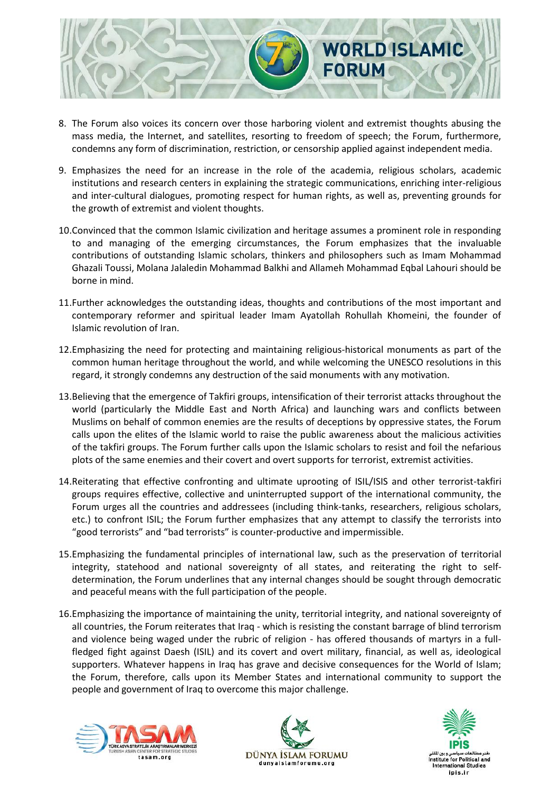

- 8. The Forum also voices its concern over those harboring violent and extremist thoughts abusing the mass media, the Internet, and satellites, resorting to freedom of speech; the Forum, furthermore, condemns any form of discrimination, restriction, or censorship applied against independent media.
- 9. Emphasizes the need for an increase in the role of the academia, religious scholars, academic institutions and research centers in explaining the strategic communications, enriching inter-religious and inter-cultural dialogues, promoting respect for human rights, as well as, preventing grounds for the growth of extremist and violent thoughts.
- 10.Convinced that the common Islamic civilization and heritage assumes a prominent role in responding to and managing of the emerging circumstances, the Forum emphasizes that the invaluable contributions of outstanding Islamic scholars, thinkers and philosophers such as Imam Mohammad Ghazali Toussi, Molana Jalaledin Mohammad Balkhi and Allameh Mohammad Eqbal Lahouri should be borne in mind.
- 11.Further acknowledges the outstanding ideas, thoughts and contributions of the most important and contemporary reformer and spiritual leader Imam Ayatollah Rohullah Khomeini, the founder of Islamic revolution of Iran.
- 12.Emphasizing the need for protecting and maintaining religious-historical monuments as part of the common human heritage throughout the world, and while welcoming the UNESCO resolutions in this regard, it strongly condemns any destruction of the said monuments with any motivation.
- 13.Believing that the emergence of Takfiri groups, intensification of their terrorist attacks throughout the world (particularly the Middle East and North Africa) and launching wars and conflicts between Muslims on behalf of common enemies are the results of deceptions by oppressive states, the Forum calls upon the elites of the Islamic world to raise the public awareness about the malicious activities of the takfiri groups. The Forum further calls upon the Islamic scholars to resist and foil the nefarious plots of the same enemies and their covert and overt supports for terrorist, extremist activities.
- 14.Reiterating that effective confronting and ultimate uprooting of ISIL/ISIS and other terrorist-takfiri groups requires effective, collective and uninterrupted support of the international community, the Forum urges all the countries and addressees (including think-tanks, researchers, religious scholars, etc.) to confront ISIL; the Forum further emphasizes that any attempt to classify the terrorists into "good terrorists" and "bad terrorists" is counter-productive and impermissible.
- 15.Emphasizing the fundamental principles of international law, such as the preservation of territorial integrity, statehood and national sovereignty of all states, and reiterating the right to selfdetermination, the Forum underlines that any internal changes should be sought through democratic and peaceful means with the full participation of the people.
- 16.Emphasizing the importance of maintaining the unity, territorial integrity, and national sovereignty of all countries, the Forum reiterates that Iraq - which is resisting the constant barrage of blind terrorism and violence being waged under the rubric of religion - has offered thousands of martyrs in a fullfledged fight against Daesh (ISIL) and its covert and overt military, financial, as well as, ideological supporters. Whatever happens in Iraq has grave and decisive consequences for the World of Islam; the Forum, therefore, calls upon its Member States and international community to support the people and government of Iraq to overcome this major challenge.